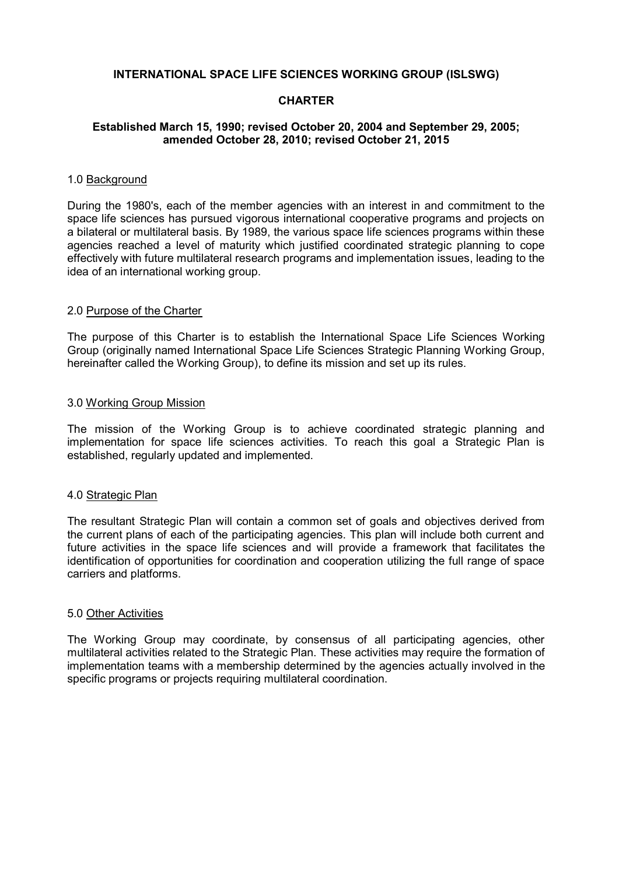## **INTERNATIONAL SPACE LIFE SCIENCES WORKING GROUP (ISLSWG)**

## **CHARTER**

# **Established March 15, 1990; revised October 20, 2004 and September 29, 2005; amended October 28, 2010; revised October 21, 2015**

#### 1.0 Background

During the 1980's, each of the member agencies with an interest in and commitment to the space life sciences has pursued vigorous international cooperative programs and projects on a bilateral or multilateral basis. By 1989, the various space life sciences programs within these agencies reached a level of maturity which justified coordinated strategic planning to cope effectively with future multilateral research programs and implementation issues, leading to the idea of an international working group.

#### 2.0 Purpose of the Charter

The purpose of this Charter is to establish the International Space Life Sciences Working Group (originally named International Space Life Sciences Strategic Planning Working Group, hereinafter called the Working Group), to define its mission and set up its rules.

#### 3.0 Working Group Mission

The mission of the Working Group is to achieve coordinated strategic planning and implementation for space life sciences activities. To reach this goal a Strategic Plan is established, regularly updated and implemented.

#### 4.0 Strategic Plan

The resultant Strategic Plan will contain a common set of goals and objectives derived from the current plans of each of the participating agencies. This plan will include both current and future activities in the space life sciences and will provide a framework that facilitates the identification of opportunities for coordination and cooperation utilizing the full range of space carriers and platforms.

#### 5.0 Other Activities

The Working Group may coordinate, by consensus of all participating agencies, other multilateral activities related to the Strategic Plan. These activities may require the formation of implementation teams with a membership determined by the agencies actually involved in the specific programs or projects requiring multilateral coordination.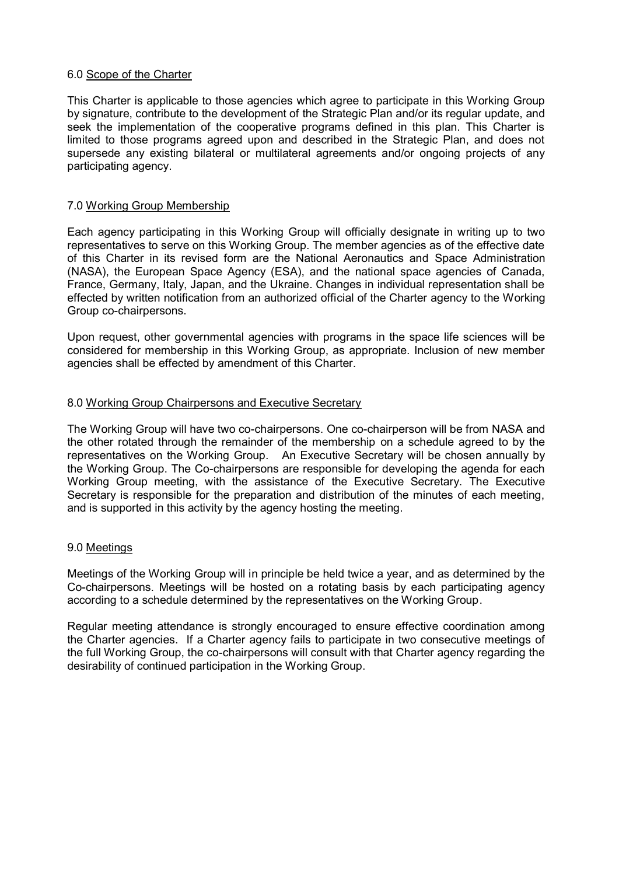# 6.0 Scope of the Charter

This Charter is applicable to those agencies which agree to participate in this Working Group by signature, contribute to the development of the Strategic Plan and/or its regular update, and seek the implementation of the cooperative programs defined in this plan. This Charter is limited to those programs agreed upon and described in the Strategic Plan, and does not supersede any existing bilateral or multilateral agreements and/or ongoing projects of any participating agency.

# 7.0 Working Group Membership

Each agency participating in this Working Group will officially designate in writing up to two representatives to serve on this Working Group. The member agencies as of the effective date of this Charter in its revised form are the National Aeronautics and Space Administration (NASA), the European Space Agency (ESA), and the national space agencies of Canada, France, Germany, Italy, Japan, and the Ukraine. Changes in individual representation shall be effected by written notification from an authorized official of the Charter agency to the Working Group co-chairpersons.

Upon request, other governmental agencies with programs in the space life sciences will be considered for membership in this Working Group, as appropriate. Inclusion of new member agencies shall be effected by amendment of this Charter.

## 8.0 Working Group Chairpersons and Executive Secretary

The Working Group will have two co-chairpersons. One co-chairperson will be from NASA and the other rotated through the remainder of the membership on a schedule agreed to by the representatives on the Working Group. An Executive Secretary will be chosen annually by the Working Group. The Co-chairpersons are responsible for developing the agenda for each Working Group meeting, with the assistance of the Executive Secretary. The Executive Secretary is responsible for the preparation and distribution of the minutes of each meeting, and is supported in this activity by the agency hosting the meeting.

#### 9.0 Meetings

Meetings of the Working Group will in principle be held twice a year, and as determined by the Co-chairpersons. Meetings will be hosted on a rotating basis by each participating agency according to a schedule determined by the representatives on the Working Group.

Regular meeting attendance is strongly encouraged to ensure effective coordination among the Charter agencies. If a Charter agency fails to participate in two consecutive meetings of the full Working Group, the co-chairpersons will consult with that Charter agency regarding the desirability of continued participation in the Working Group.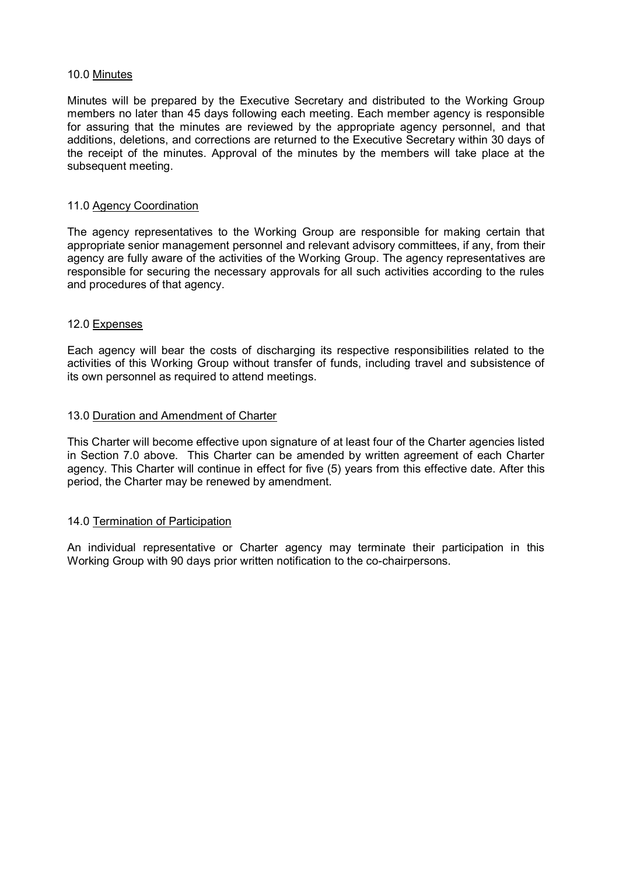## 10.0 Minutes

Minutes will be prepared by the Executive Secretary and distributed to the Working Group members no later than 45 days following each meeting. Each member agency is responsible for assuring that the minutes are reviewed by the appropriate agency personnel, and that additions, deletions, and corrections are returned to the Executive Secretary within 30 days of the receipt of the minutes. Approval of the minutes by the members will take place at the subsequent meeting.

## 11.0 Agency Coordination

The agency representatives to the Working Group are responsible for making certain that appropriate senior management personnel and relevant advisory committees, if any, from their agency are fully aware of the activities of the Working Group. The agency representatives are responsible for securing the necessary approvals for all such activities according to the rules and procedures of that agency.

## 12.0 Expenses

Each agency will bear the costs of discharging its respective responsibilities related to the activities of this Working Group without transfer of funds, including travel and subsistence of its own personnel as required to attend meetings.

## 13.0 Duration and Amendment of Charter

This Charter will become effective upon signature of at least four of the Charter agencies listed in Section 7.0 above. This Charter can be amended by written agreement of each Charter agency. This Charter will continue in effect for five (5) years from this effective date. After this period, the Charter may be renewed by amendment.

#### 14.0 Termination of Participation

An individual representative or Charter agency may terminate their participation in this Working Group with 90 days prior written notification to the co-chairpersons.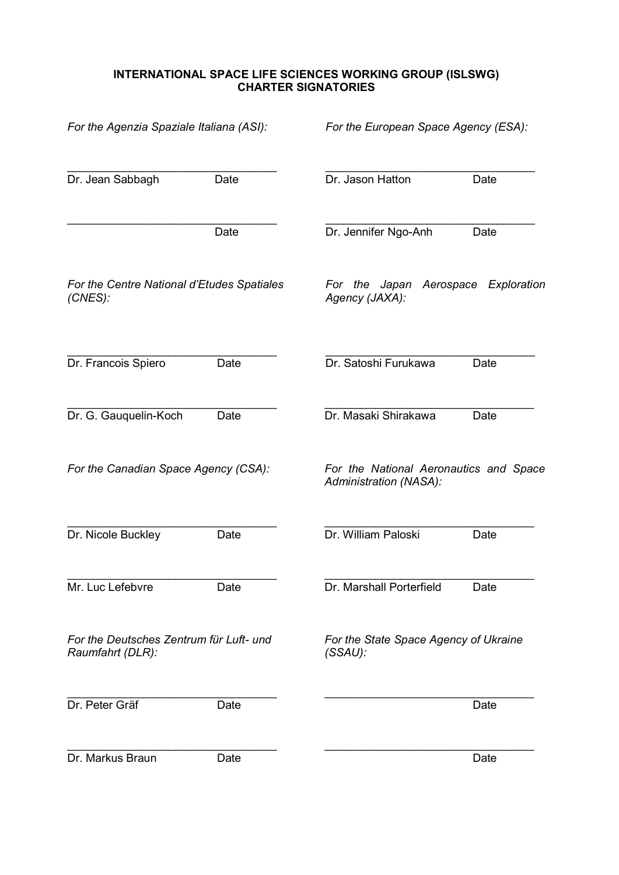# **INTERNATIONAL SPACE LIFE SCIENCES WORKING GROUP (ISLSWG) CHARTER SIGNATORIES**

| For the Agenzia Spaziale Italiana (ASI):                    |      | For the European Space Agency (ESA):                             |      |
|-------------------------------------------------------------|------|------------------------------------------------------------------|------|
| Dr. Jean Sabbagh                                            | Date | Dr. Jason Hatton                                                 | Date |
|                                                             | Date | Dr. Jennifer Ngo-Anh                                             | Date |
| For the Centre National d'Etudes Spatiales<br>$(CNES)$ :    |      | For the Japan Aerospace<br>Exploration<br>Agency (JAXA):         |      |
| Dr. Francois Spiero                                         | Date | Dr. Satoshi Furukawa                                             | Date |
| Dr. G. Gauquelin-Koch                                       | Date | Dr. Masaki Shirakawa                                             | Date |
| For the Canadian Space Agency (CSA):                        |      | For the National Aeronautics and Space<br>Administration (NASA): |      |
| Dr. Nicole Buckley                                          | Date | Dr. William Paloski                                              | Date |
| Mr. Luc Lefebvre                                            | Date | Dr. Marshall Porterfield                                         | Date |
| For the Deutsches Zentrum für Luft- und<br>Raumfahrt (DLR): |      | For the State Space Agency of Ukraine<br>$(SSAU)$ :              |      |
| Dr. Peter Gräf                                              | Date |                                                                  | Date |
| Dr. Markus Braun                                            | Date |                                                                  | Date |